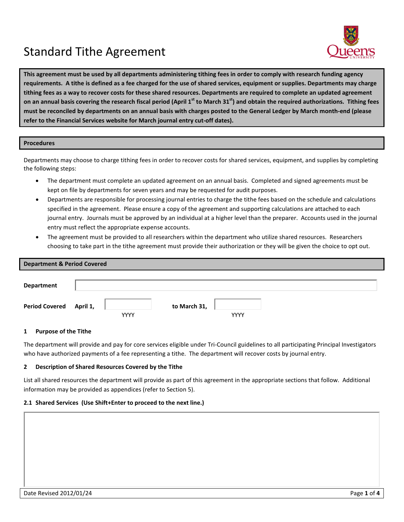# Standard Tithe Agreement



**This agreement must be used by all departments administering tithing fees in order to comply with research funding agency requirements. A tithe is defined as a fee charged for the use of shared services, equipment or supplies. Departments may charge tithing fees as a way to recover costs for these shared resources. Departments are required to complete an updated agreement on an annual basis covering the research fiscal period (April 1st to March 31st) and obtain the required authorizations. Tithing fees must be reconciled by departments on an annual basis with charges posted to the General Ledger by March month-end (please refer to the Financial Services website for March journal entry cut-off dates).**

## **Procedures**

Departments may choose to charge tithing fees in order to recover costs for shared services, equipment, and supplies by completing the following steps:

- The department must complete an updated agreement on an annual basis. Completed and signed agreements must be kept on file by departments for seven years and may be requested for audit purposes.
- Departments are responsible for processing journal entries to charge the tithe fees based on the schedule and calculations specified in the agreement. Please ensure a copy of the agreement and supporting calculations are attached to each journal entry. Journals must be approved by an individual at a higher level than the preparer. Accounts used in the journal entry must reflect the appropriate expense accounts.
- The agreement must be provided to all researchers within the department who utilize shared resources. Researchers choosing to take part in the tithe agreement must provide their authorization or they will be given the choice to opt out.

| <b>Department &amp; Period Covered</b> |             |              |             |  |
|----------------------------------------|-------------|--------------|-------------|--|
| <b>Department</b>                      |             |              |             |  |
| Period Covered April 1,                | <b>YYYY</b> | to March 31, | <b>YYYY</b> |  |

## **1 Purpose of the Tithe**

The department will provide and pay for core services eligible under Tri-Council guidelines to all participating Principal Investigators who have authorized payments of a fee representing a tithe. The department will recover costs by journal entry.

#### **2 Description of Shared Resources Covered by the Tithe**

List all shared resources the department will provide as part of this agreement in the appropriate sections that follow. Additional information may be provided as appendices (refer to Section 5).

#### **2.1 Shared Services (Use Shift+Enter to proceed to the next line.)**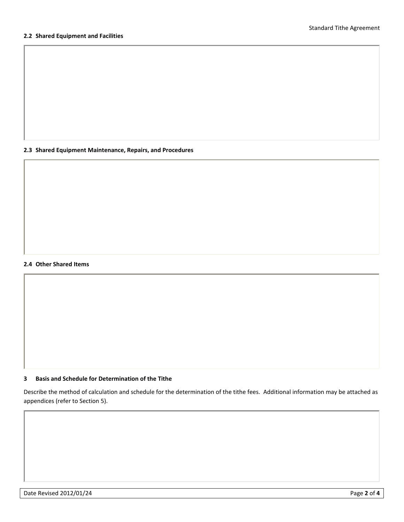## **2.2 Shared Equipment and Facilities**

**2.3 Shared Equipment Maintenance, Repairs, and Procedures**

#### **2.4 Other Shared Items**

# **3 Basis and Schedule for Determination of the Tithe**

Describe the method of calculation and schedule for the determination of the tithe fees. Additional information may be attached as appendices (refer to Section 5).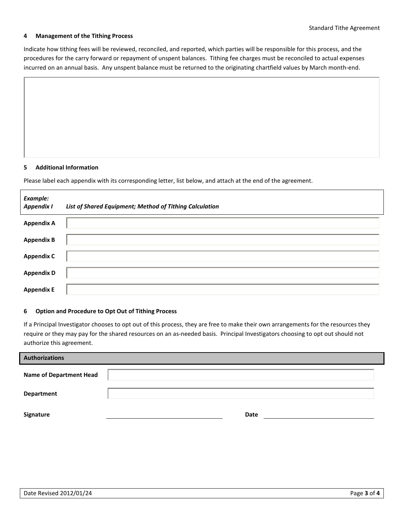## **4 Management of the Tithing Process**

Indicate how tithing fees will be reviewed, reconciled, and reported, which parties will be responsible for this process, and the procedures for the carry forward or repayment of unspent balances. Tithing fee charges must be reconciled to actual expenses incurred on an annual basis. Any unspent balance must be returned to the originating chartfield values by March month-end.

## **5 Additional Information**

Please label each appendix with its corresponding letter, list below, and attach at the end of the agreement.

| Example:<br><b>Appendix I</b> | List of Shared Equipment; Method of Tithing Calculation |
|-------------------------------|---------------------------------------------------------|
| <b>Appendix A</b>             |                                                         |
| <b>Appendix B</b>             |                                                         |
| <b>Appendix C</b>             |                                                         |
| <b>Appendix D</b>             |                                                         |
| <b>Appendix E</b>             |                                                         |

#### **6 Option and Procedure to Opt Out of Tithing Process**

If a Principal Investigator chooses to opt out of this process, they are free to make their own arrangements for the resources they require or they may pay for the shared resources on an as-needed basis. Principal Investigators choosing to opt out should not authorize this agreement.

| <b>Authorizations</b>          |      |  |
|--------------------------------|------|--|
| <b>Name of Department Head</b> |      |  |
| Department                     |      |  |
| Signature                      | Date |  |